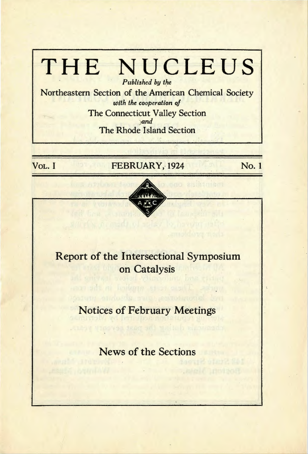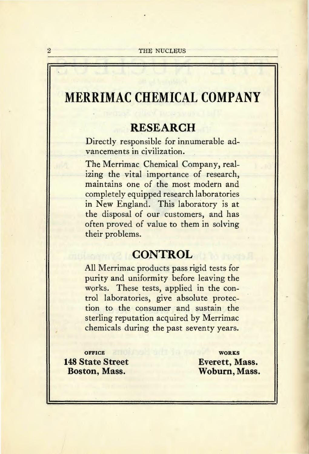# **MERRIMAC CHEMICAL COMPANY**

# **RESEARCH**

Directly responsible for innumerable advancements in civilization.

The Merrimac Chemical Company, realizing the vital importance of research, maintains one of the most modern and completely equipped research laboratories in New England. This laboratory is at the disposal of our customers, and has often proved of value to them in solving their problems.

# **CONTROL**

All Merrimac products pass rigid tests for purity and uniformity before leaving the works. These tests, applied in the control laboratories, give absolute protection to the consumer and sustain the sterling reputation acquired by Merrimac chemicals during the past seventy years.

**OFFICE 148 State Street Boston, Mass.** 

**WORKS Everett, Mass. Woburn, Mass.**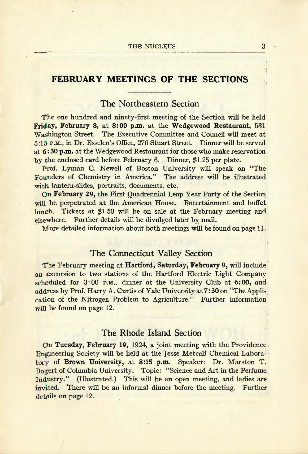# **FEBRUARY MEETINGS OF THE SECTIONS**

# The Northeastern Section

The one hundred and ninety-first meeting of the Section will be held Friday, February 8, at 8:00 p.m. at the Wedgewood Restaurant, 531 Washington Street. The Executive Committee and Council will meet at 5:15 P.M., in Dr. Esselen's Office, 276 Stuart Street. Dinner will be served at 6: 30 p.m. at the Wedgewood Restaurant for those who make reservation by the enclosed card before February 6. Dinner, \$1.25 per plate.

Prof. Lyman C. Newell of Boston University will speak on "The Founders of Chemistry in America." The address will be illustrated witb lantern-slides, portraits, documents, etc.

On February 29, the First Quadrennial Leap Year Party of the Section will be perpetrated at the American House. Entertainment and buffet lunch. Tickets at \$1.50 will be on sale at the February meeting and elsewhere. Further details will be divulged later by mail.

More detailed information about both meetings will be found on page 11.

# The Connecticut Valley Section

The February meeting at Hartford; Saturday, February 9, will include an excursion to two stations of the Hartford Electric Light Company scheduled for 3:00 p.m., dinner at the University Club at 6:00, and address by Prof. Harry A. Curtis of Yale University at 7:30 on "The Application of the Nitrogen Problem to Agriculture." Further information will be found on page 12.

## The Rhode Island Section

On Tuesday, February 19, 1924, a joint meeting with the Providence Engineering Society will be held at the Jesse Metcalf Chemical Laborn- ' tory of Brown University, at 8:15 p.m. Speaker: Dr. Marston T. Bogert of Columbia University. Topic: "Science and Art in the Perfume Industry." (Illustrated.) This will be an open meeting, and ladies are invited. There will be an informal dinner before the meeting. Further details on page 12.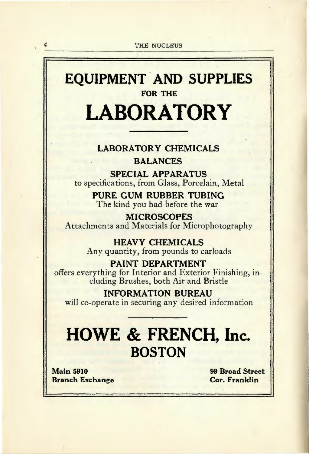# EQUIPMENT AND SUPPLIES FOR THE LABORATORY

# LABORATORY CHEMICALS

## BALANCES

SPECIAL APPARATUS to specifications, from Glass, Porcelain, Metal

> PURE GUM RUBBER TUBING The kind you had before the war

**MICROSCOPES** Attachments and Materials for Microphotography

> HEAVY CHEMICALS Any quantity, from pounds to carloads

PAINT DEPARTMENT offers everything for Interior and Exterior Finishing, including Brushes, both Air and Bristle

INFORMATION BUREAU will co-operate in securing any desired information

# HOWE & FRENCH, Inc. **BOSTON**

Main 5910 Branch Exchange 99 Broad Street Cor. Franklin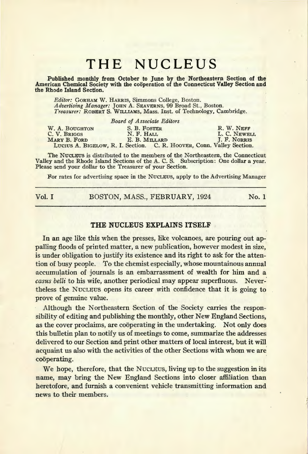Published monthly from October to June by the Northeastern Section of the American Chemical Society with the cooperation of the Connecticut Valley Section and the Rhode Island Section.

*Editor:* GORHAM W. HARRIS, Simmons College, Boston. *Advertising Manager: ]OHN* A. SEAVERNS, 99 Broad St., Boston. *Treasurer:* ROBERTS. WILLIAMS, Mass. Inst. of Technology, Cambridge.

|                | Board of Associate Editors                                            |              |
|----------------|-----------------------------------------------------------------------|--------------|
| W. A. BOUGHTON | S. B. FOSTER                                                          | R. W. NEFF   |
| C. V. BRIGGS   | N. F. HALL                                                            | L. C. NEWELL |
| MARY B. FORD   | E. B. MILLARD                                                         | J. F. NORRIS |
|                | LUCIUS A. BIGELOW, R. I. Section. C. R. HOOVER, Conn. Valley Section. |              |

The NUCLEUS is distributed to the members of the Northeastern, the Connecticut Valley and the Rhode Island Sections of the A. C. S. Subscription: One dollar a year. Please send your dollar to the Treasurer of your Section.

For rates for advertising space in the NUCLEUS, apply to the Advertising Manager

Vol. I BOSTON, MASS., FEBRUARY, 1924 No. 1

#### THE NUCLEUS EXPLAINS ITSELF

In an age like this when the presses, like volcanoes, are pouring out appalling floods of printed matter, a new publication, however modest in size,' is under obligation to justify its existence and its right to ask for the attention of busy people. To the chemist especially, whose mountainous annual accumulation of journals is an embarrassment of wealth for him and a *casus belli* to his wife, another periodical may appear superfluous. Nevertheless the Nucurus opens its career with confidence that it is going to prove of genuine value.

Although the Northeastern Section of the Society carries the responsibility of editing and publishing the monthly, other New England Sections, as the cover proclaims, are cooperating in the undertaking. Not only does this bulletin plan to notify us of meetings to come, summarize the addresses delivered to our Section and print other matters of local interest, but it will acquaint us also with the activities of the other Sections with whom we are coöperating.

We hope, therefore, that the Nucleus, living up to the suggestion in its name, may bring the New England Sections into closer affiliation than heretofore, and furnish a convenient vehicle transmitting information and news to their members.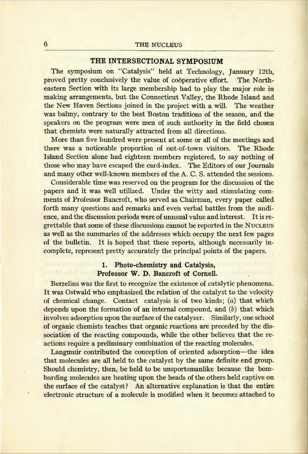#### THE INTERSECTIONAL SYMPOSIUM

The symposium on "Catalysis" held at Technology, January 12th, proved pretty conclusively the value of cooperative effort. The Northeastern Section with its large membership had to play the major role in making arrangements, but the Connecticut Valley, the Rhode Island and the New Haven Sections joined in the project with a will. The weather was balmy, contrary to the best Boston traditions of the season, and' the speakers on the program were men of such authority in the field chosen that chemists were naturally attracted from all directions.

More than five hundred were present at some or all of the meetings and there was a noticeable proportion of out-of-town visitors. The Rhode Island Section alone had eighteen members registered, to say nothing of those who may have escaped the card-index. The Editors of our Journals and many other well-known members of the A. C. S. attended the sessions.

Considerable time was reserved on the program for the discussion of the papers and it was well utilized. Under the witty and stimulating comments of Professor Bancroft, who served as Chairman, every paper called forth many questions and remarks and even verbal battles from the audience, and the discussion periods were of unusual value and interest. It is regrettable that some of these discussions cannot be reported in the NucLEUS as well as the summaries of the addresses which occupy the next few pages of the bulletin. It is hoped that these reports, although necessarily incomplete, represent pretty accurately the principal points of the papers.

#### 1. Photo-chemistry and Catalysis, Professor W. D. Bancroft of Cornell.

Berzelius was the first to recognize the existence of catalytic phenomena. It was Ostwald who emphasized the relation of the catalyst to the velocity of chemical change. Contact catalysis is of two kinds; (a) that which depends upon the formation of an internal compound, and (b) that which involves adsorption upon the surface of the catalyzer. Similarly, one school of organic chemists teaches that organic reactions are preceded by the dissociation of the reacting compounds, while the other believes that the reactions require a preliminary combination of the reacting molecules.

Langmuir contributed the conception of oriented adsorption-the idea that molecules are all held to the catalyst by the same definite end group. Should chemistry, then, be held to be unsportsmanlike because the bombarding molecules are beating upon the heads of the others held captive on the surface of the catalyst? An alternative explanation is that the entire electronic structure of a molecule is modified when it becomes attached to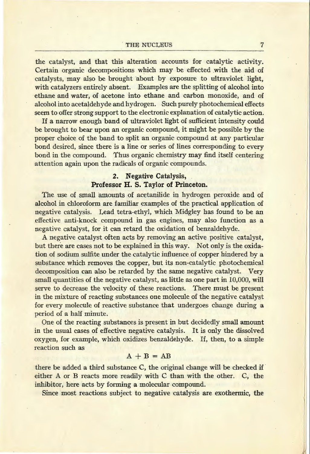the catalyst, and that this alteration accounts for catalytic activity. Certain organic decompositions which may be effected with the aid of catalysts, may also be brought about by exposure to ultraviolet light, with catalyzers entirely absent. Examples are the splitting of alcohol into ethane and water, of acetone into ethane and carbon monoxide, and of alcohol into acetaldehyde and hydrogen. Such purely photochemical effects seem to offer strong support to the electronic explanation of catalytic action.

If a narrow enough band of ultraviolet light of sufficient intensity could be brought to bear upon an organic compound, it might be possible by the proper choice of the band to split an organic compound at any particular bond desired, since there is a line or series of lines corresponding to every bond in the compound. Thus organic chemistry may find itself centering attention again upon the radicals of organic compounds.

# 2. Negative Catalysis, Professor H. S. Taylor of Princeton.

The use of small amounts of acetanilide in hydrogen peroxide and of alcohol in chloroform are familiar examples of the practical application of negative catalysis. Lead tetra-ethyl, which Midgley has found to be an effective anti-knock compound in gas engines, may also function as a negative catalyst, for it can retard the oxidation of benzaldehyde.

A negative catalyst often acts by removing an active positive catalyst, but there are cases not to be explained in this way. Not only is the oxidation of sodium sulfite under the catalytic influence of copper hindered by a substance which removes the copper, but its non-catalytic photochemical decomposition can also be retarded by the same negative catalyst. Very small quantities of the negative catalyst, as little as one part in 10,000, will serve to decrease the velocity of these reactions. There must be present in the mixture of reacting substances one molecule of the negative catalyst for every molecule of reactive substance that undergoes change during a period of a half minute.

One of the reacting substances is present in but decidedly small amount in the usual cases of effective negative catalysis. It is only the dissolved oxygen, for example, which oxidizes benzaldehyde. If, then, to a simple reaction such as

#### $A + B = AB$

there be added a third substance C, the original change will be checked if either A or B reacts more readily with C than with the other. C, the inhibitor, here acts by forming a molecular compound.

Since most reactions subject to negative catalysis are exothermic, the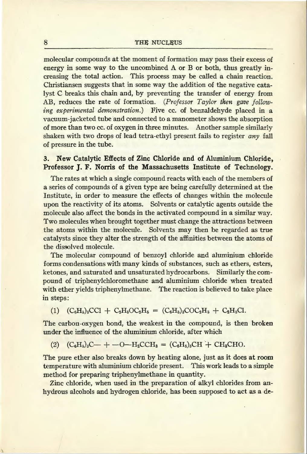molecular compounds at the moment of formation may pass their excess of energy in some way to the uncombined A or B or both, thus greatly increasing the total action. This process may be called a chain reaction. Christiansen suggests that in some way the addition of the negative catalyst C breaks this chain and, by preventing the transfer of energy from AB, reduces the rate of formation. *(Professor Taylor then gave following experimental demonstration.)* Five cc. of benzaldehyde placed in a vacuum-jacketed tube and connected to a manometer shows the absorption of more than two cc. of oxygen in three minutes. Another sample similarly shaken with two drops of lead tetra-ethyl present fails to register *any* fall of pressure in the tube.

### 3. New Catalytic Effects of Zinc Chloride and of Aluminium Chloride, Professor J. F. Norris of the Massachusetts Institute of Technology.

The rates at which a single compound reacts with each of the members of a series of compounds of a given type are being carefully determined at the Institute, in order to measure the effects of changes within the molecule upon the reactivity of its atoms. Solvents or catalytic agents outside the molecule also affect the bonds in the activated compound in a similar way. Two molecules when brought together must change the attractions between the atoms within the molecule. Solvents may then be regarded as true catalysts since they alter the strength of the affinities between the atoms of the dissolved molecule.

The molecular compound of benzoyl chloride and aluminium chloride. forms condensations with many kinds of substances, such as ethers, esters, ketones, and saturated and unsaturated hydrocarbons. Similarly the compound of triphenylchloromethane and aluminium chloride when treated with ether yields triphenylmethane. The reaction is believed to take place in steps:

#### (1)  $(C_6H_5)_3CC1 + C_2H_5OC_2H_5 = (C_6H_5)_3COC_2H_5 + C_2H_5C1.$

The carbon-oxygen bond, the weakest in the compound, is then broken under the influence of the aluminium chloride, after which

 $(C_6H_5)_3C$  + -0-H<sub>2</sub>CCH<sub>3</sub> =  $(C_6H_5)_3CH$  + CH<sub>2</sub>CHO.  $(2)$ 

The pure ether also breaks down by heating alone, just as it does at room temperature with aluminium chloride present. This work leads to a simple method for preparing triphenylmethane in quantity.

Zinc chloride, when used in the preparation of alkyl chlorides from anhydrous alcohols and hydrogen chloride, has been supposed to act as a de-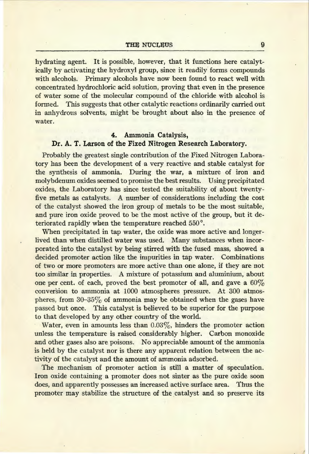hydrating agent. It is possible, however, that it functions here catalytically by activating the hydroxyl group, since it readily forms compounds with alcohols. Primary alcohols have now been found to react well with concentrated hydrochloric acid solution, proving that even in the presence of water some of the molecular compound of the chloride with alcohol is formed. This suggests that other catalytic reactions ordinarily carried out in anhydrous solvents, might be brought about also in the presence of water.

## **4. Ammonia Catalysis, Dr. A. T. Larson of the Fixed Nitrogen Research Laboratory.**

Probably the greatest single contribution of the Fixed Nitrogen Laboratory has been the development of a very reactive and stable catalyst for the synthesis of ammonia. During the war, a mixture of iron and molybdenum oxides seemed to promise the best results. Using precipitated oxides, the Laboratory has since tested the suitability of about twentyfive metals as catalysts. A number of considerations including the cost of the catalyst showed the iron group of metals to be the most suitable, and pure iron oxide proved to be the most active of the group, but it deteriorated rapidly when the temperature reached 550°.

When precipitated in tap water, the oxide was more active and longerlived than when distilled water was used. Many substances when incorporated into the catalyst by being stirred with the fused mass, showed a decided promoter action like the impurities in tap water. Combinations of two or more promoters are more active than one alone, if they are not too similar in properties. A mixture of potassium and aluminium, about one per cent. of each, proved the best promoter of all, and gave a  $60\%$ conversion to ammonia at 1000 atmospheres pressure. At 300 atmospheres, from  $30-35\%$  of ammonia may be obtained when the gases have passed but once. This catalyst is believed to be superior for the purpose to that developed by any other country of the world.

Water, even in amounts less than  $0.03\%$ , hinders the promoter action unless the temperature is raised considerably higher. Carbon monoxide and other gases also are poisons. No appreciable amount of the ammonia is held by the catalyst nor is there any apparent relation between the activity of the catalyst and the amount of ammonia adsorbed.

The mechanism of promoter action is still a matter of speculation. Iron oxide containing a promoter does not sinter as the pure oxide soon does, and apparently possesses an increased active surface area. Thus the promoter may stabilize the structure of the catalyst and so preserve its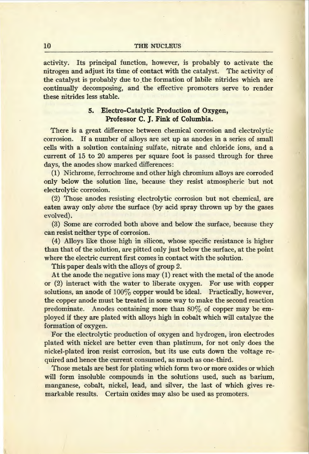activity. Its principal function, however, is probably to activate the nitrogen and adjust its time of contact with the catalyst. The activity of the catalyst is probably due to the formation of labile nitrides which are continually decomposing, and the effective promoters serve to render these nitrides less stable.

#### 5. Electro-Catalytic Production of Oxygen, Professor C. J. Fink of Columbia.

There is a great difference between chemical corrosion and electrolytic corrosion. If a number of alloys are set up as anodes in a series of small cells with a solution containing sulfate, nitrate and chloride ions, and a current of 15 to 20 amperes per square foot is passed through for three days, the anodes show marked differences:

(1) Nichrome, ferrochrome and other high chromium alloys are corroded only below the solution line, because they resist atmospheric but not electrolytic corrosion.

(2) Those anodes resisting electrolytic corrosion but not chemical, are eaten away only *above* the surface (by acid spray thrown up by the gases evolved).

(3) Some are corroded both above and below the surface, because they can resist neither type of corrosion.

(4) Alloys like those high in silicon, whose specific resistance is higher than that of the solution, are pitted only just below the surface, at the point where the electric current first comes in contact with the solution.

This paper deals with the alloys of group 2.

At the anode the negative ions may (1) react with the metal of the anode or (2) interact with the water to liberate oxygen. For use with copper solutions, an anode of  $100\%$  copper would be ideal. Practically, however, the copper anode must be treated in some way to make the second reaction predominate. Anodes containing more than  $80\%$  of copper may be employed if they are plated with alloys high in cobalt which will catalyze the formation of oxygen.

For the electrolytic production of oxygen and hydrogen, iron electrodes plated with nickel are better even than platinum, for not only does the nickel-plated iron resist corrosion, but its use cuts down the voltage required and hence the current consumed, as much as one-third.

Those metals are best for plating which form two or more oxides or which will form insoluble compounds in the solutions used, such as barium, manganese, cobalt, nickel, lead, and silver, the last of which gives remarkable results. Certain oxides may also be used as promoters.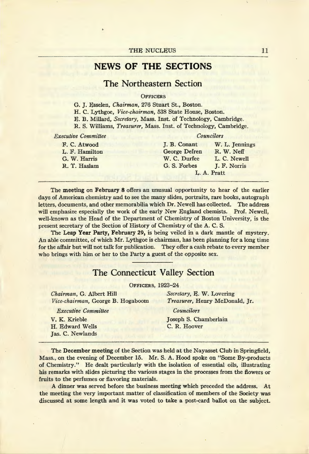# **NEWS OF THE SECTIONS**

# The Northeastern Section

#### **OFFICERS**

G. J. Esselen, *Chairman,* 276 Stuart St., Boston.

H. C. Lythgoe, *Vice-chairman,* 538 State House, Boston.

E. B. Millard, *Secretary,* Mass. Inst. of Technology, Cambridge.

R. S. Williams, *Treasurer,* Mass. Inst. of Technology, Cambridge.

| <b>Executive Committee</b> | Councilors    |                |  |
|----------------------------|---------------|----------------|--|
| F. C. Atwood               | J. B. Conant  | W. L. Jennings |  |
| L. F. Hamilton             | George Defren | R. W. Neff     |  |
| G. W. Harris               | W. C. Durfee  | L. C. Newell   |  |
| R. T. Haslam               | G. S. Forbes  | J. F. Norris   |  |
|                            |               | L. A. Pratt    |  |

The meeting on February 8 offers an unusual opportunity to hear of the earlier days of American chemistry and to see the many slides, portraits, rare books, autograph letters, documents, and other memorabilia which Dr. Newell has collected. The address will emphasize especially the work of the early New England chemists. Prof. Newell, well-known as the Head of the Department of Chemistry of Boston University, is the present secretary of the Section of History of Chemistry of the A. C. S.

The Leap Year Party, February 29, is being veiled in a dark mantle of mystery. An able committee, of which Mr. Lythgoe is chairman, has been planning for a long time for the affair but will not talk for publication. They offer a cash rebate to every member who brings with him or her to the Party a guest of the opposite sex.

# The Connecticut Valley Section

OFFICERS, 1923-24

*Chairman,* G. Albert Hill *Vice-chairman,* George B. Hogaboom *Secretary,* E. W. Lovering *Treasurer,* Henry McDonald, Jr.

*Executive Committee* 

V. K. Krieble H. Edward Wells Jas. C. Newlands *Councilors* 

Joseph S. Chamberlain C.R. Hoover

The December meeting of the Section was held at the Nayasset Club in Springfield, Mass., on the evening of December 15. Mr. S. A. Hood spoke on "Some By-products of Chemistry." He dealt particularly with the isolation of essential oils, illustrating his remarks with slides picturing the various stages in the processes from the flowers or fruits to the perfumes or flavoring materials.

*A* dinner was served before the business meeting which preceded the address. At the meeting the very important matter of classification of members of the Society was discussed at some length and it was voted to take a post-card ballot on the subject.